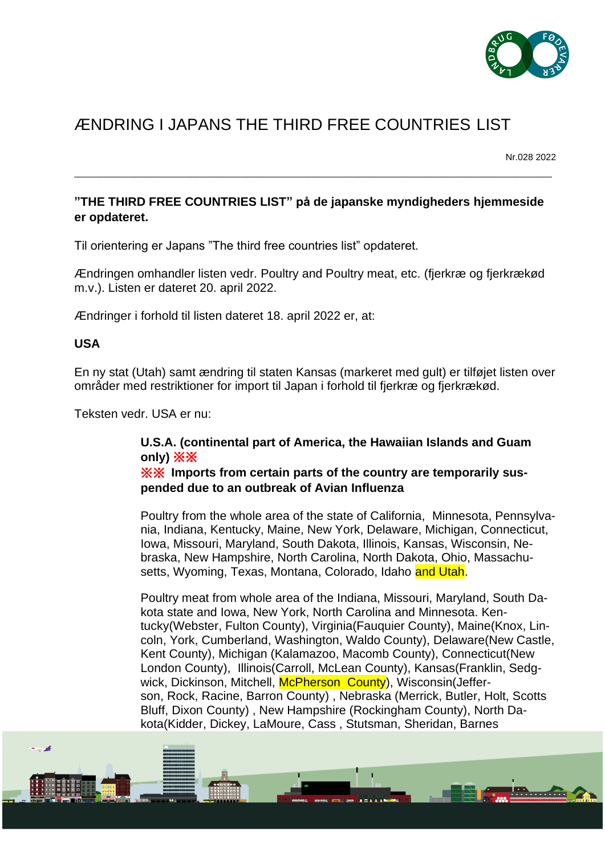

## ÆNDRING I JAPANS THE THIRD FREE COUNTRIES LIST

Nr.028 2022

 $\mathbf{H}$ 

## **"THE THIRD FREE COUNTRIES LIST" på de japanske myndigheders hjemmeside er opdateret.**

\_\_\_\_\_\_\_\_\_\_\_\_\_\_\_\_\_\_\_\_\_\_\_\_\_\_\_\_\_\_\_\_\_\_\_\_\_\_\_\_\_\_\_\_\_\_\_\_\_\_\_\_\_\_\_\_\_\_\_\_\_\_\_\_\_\_\_\_\_\_\_\_\_\_\_\_\_\_\_\_\_\_\_\_\_\_\_\_\_\_\_\_\_\_

Til orientering er Japans "The third free countries list" opdateret.

Ændringen omhandler listen vedr. Poultry and Poultry meat, etc. (fjerkræ og fjerkrækød m.v.). Listen er dateret 20. april 2022.

Ændringer i forhold til listen dateret 18. april 2022 er, at:

## **USA**

En ny stat (Utah) samt ændring til staten Kansas (markeret med gult) er tilføjet listen over områder med restriktioner for import til Japan i forhold til fjerkræ og fjerkrækød.

Teksten vedr. USA er nu:

## **U.S.A. (continental part of America, the Hawaiian Islands and Guam only)** ※※

※※ **Imports from certain parts of the country are temporarily suspended due to an outbreak of Avian Influenza**

Poultry from the whole area of the state of California, Minnesota, Pennsylvania, Indiana, Kentucky, Maine, New York, Delaware, Michigan, Connecticut, Iowa, Missouri, Maryland, South Dakota, Illinois, Kansas, Wisconsin, Nebraska, New Hampshire, North Carolina, North Dakota, Ohio, Massachusetts, Wyoming, Texas, Montana, Colorado, Idaho and Utah.

Poultry meat from whole area of the Indiana, Missouri, Maryland, South Dakota state and Iowa, New York, North Carolina and Minnesota. Kentucky(Webster, Fulton County), Virginia(Fauquier County), Maine(Knox, Lincoln, York, Cumberland, Washington, Waldo County), Delaware(New Castle, Kent County), Michigan (Kalamazoo, Macomb County), Connecticut(New London County), Illinois(Carroll, McLean County), Kansas(Franklin, Sedgwick, Dickinson, Mitchell, McPherson County), Wisconsin(Jefferson, Rock, Racine, Barron County) , Nebraska (Merrick, Butler, Holt, Scotts Bluff, Dixon County) , New Hampshire (Rockingham County), North Dakota(Kidder, Dickey, LaMoure, Cass , Stutsman, Sheridan, Barnes